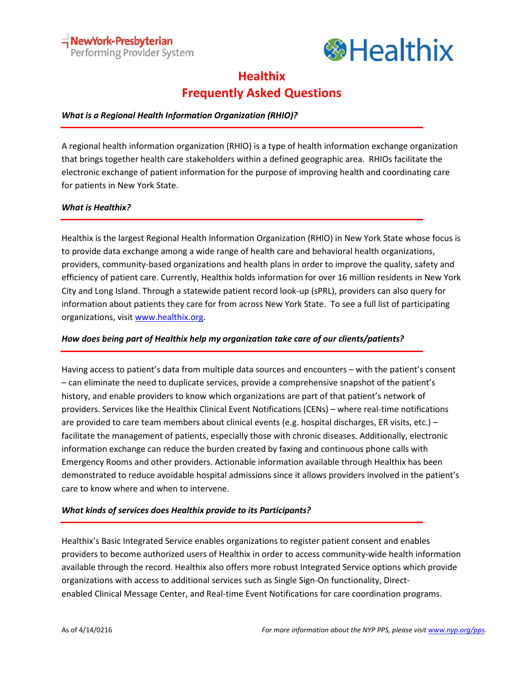

# **Healthix Frequently Asked Questions**

# *What is a Regional Health Information Organization (RHIO)?*

A regional health information organization (RHIO) is a type of health information exchange organization that brings together health care stakeholders within a defined geographic area. RHIOs facilitate the electronic exchange of patient information for the purpose of improving health and coordinating care for patients in New York State.

## *What is Healthix?*

Healthix is the largest Regional Health Information Organization (RHIO) in New York State whose focus is to provide data exchange among a wide range of health care and behavioral health organizations, providers, community-based organizations and health plans in order to improve the quality, safety and efficiency of patient care. Currently, Healthix holds information for over 16 million residents in New York City and Long Island. Through a statewide patient record look-up (sPRL), providers can also query for information about patients they care for from across New York State. To see a full list of participating organizations, visit [www.healthix.org.](http://www.healthix.org/)

# *How does being part of Healthix help my organization take care of our clients/patients?*

Having access to patient's data from multiple data sources and encounters – with the patient's consent – can eliminate the need to duplicate services, provide a comprehensive snapshot of the patient's history, and enable providers to know which organizations are part of that patient's network of providers. Services like the Healthix Clinical Event Notifications (CENs) – where real-time notifications are provided to care team members about clinical events (e.g. hospital discharges, ER visits, etc.) facilitate the management of patients, especially those with chronic diseases. Additionally, electronic information exchange can reduce the burden created by faxing and continuous phone calls with Emergency Rooms and other providers. Actionable information available through Healthix has been demonstrated to reduce avoidable hospital admissions since it allows providers involved in the patient's care to know where and when to intervene.

## *What kinds of services does Healthix provide to its Participants?*

Healthix's Basic Integrated Service enables organizations to register patient consent and enables providers to become authorized users of Healthix in order to access community-wide health information available through the record. Healthix also offers more robust Integrated Service options which provide organizations with access to additional services such as Single Sign-On functionality, Directenabled Clinical [Message](http://healthix.org/products-services-for-providers/clinical-message-center/) Center, and Real-time Event [Notifications](http://healthix.org/products-services-for-providers/event-notifications/) for care coordination programs.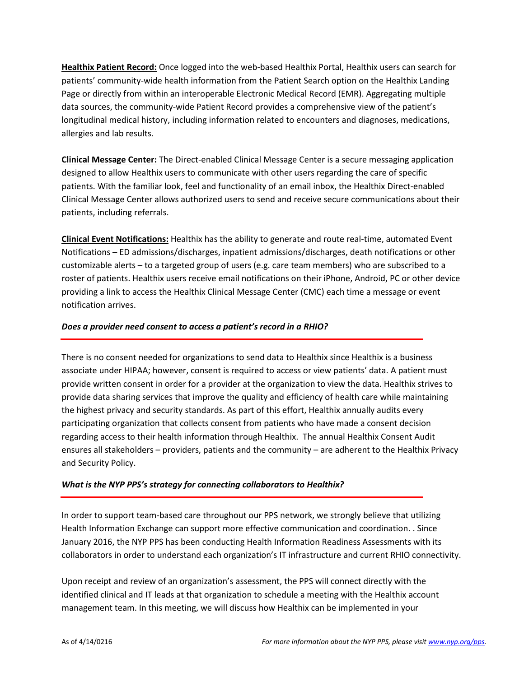**Healthix Patient Record:** Once logged into the web-based Healthix Portal, Healthix users can search for patients' community-wide health information from the Patient Search option on the Healthix Landing Page or directly from within an interoperable Electronic Medical Record (EMR). Aggregating multiple data sources, the community-wide Patient Record provides a comprehensive view of the patient's longitudinal medical history, including information related to encounters and diagnoses, medications, allergies and lab results.

**Clinical Message Center:** The Direct-enabled Clinical Message Center is a secure messaging application designed to allow Healthix users to communicate with other users regarding the care of specific patients. With the familiar look, feel and functionality of an email inbox, the Healthix Direct-enabled Clinical Message Center allows authorized users to send and receive secure communications about their patients, including referrals.

**Clinical Event Notifications:** Healthix has the ability to generate and route real-time, automated Event Notifications – ED admissions/discharges, inpatient admissions/discharges, death notifications or other customizable alerts – to a targeted group of users (e.g. care team members) who are subscribed to a roster of patients. Healthix users receive email notifications on their iPhone, Android, PC or other device providing a link to access the Healthix Clinical Message Center (CMC) each time a message or event notification arrives.

## *Does a provider need consent to access a patient's record in a RHIO?*

There is no consent needed for organizations to send data to Healthix since Healthix is a business associate under HIPAA; however, consent is required to access or view patients' data. A patient must provide written consent in order for a provider at the organization to view the data. Healthix strives to provide data sharing services that improve the quality and efficiency of health care while maintaining the highest privacy and security standards. As part of this effort, Healthix annually audits every participating organization that collects consent from patients who have made a consent decision regarding access to their health information through Healthix. The annual Healthix Consent Audit ensures all stakeholders – providers, patients and the community – are adherent to the Healthix Privacy and Security Policy.

## *What is the NYP PPS's strategy for connecting collaborators to Healthix?*

In order to support team-based care throughout our PPS network, we strongly believe that utilizing Health Information Exchange can support more effective communication and coordination. . Since January 2016, the NYP PPS has been conducting Health Information Readiness Assessments with its collaborators in order to understand each organization's IT infrastructure and current RHIO connectivity.

Upon receipt and review of an organization's assessment, the PPS will connect directly with the identified clinical and IT leads at that organization to schedule a meeting with the Healthix account management team. In this meeting, we will discuss how Healthix can be implemented in your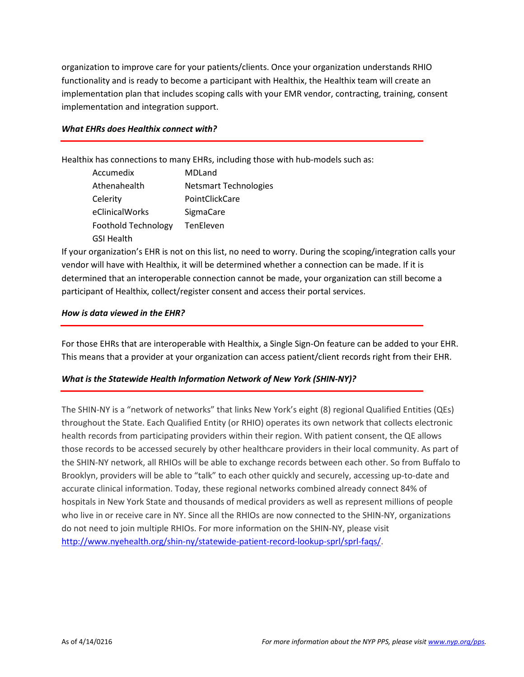organization to improve care for your patients/clients. Once your organization understands RHIO functionality and is ready to become a participant with Healthix, the Healthix team will create an implementation plan that includes scoping calls with your EMR vendor, contracting, training, consent implementation and integration support.

#### *What EHRs does Healthix connect with?*

Healthix has connections to many EHRs, including those with hub-models such as:

Accumedix MDLand Athenahealth Netsmart Technologies Celerity PointClickCare eClinicalWorks SigmaCare Foothold Technology TenEleven GSI Health

If your organization's EHR is not on this list, no need to worry. During the scoping/integration calls your vendor will have with Healthix, it will be determined whether a connection can be made. If it is determined that an interoperable connection cannot be made, your organization can still become a participant of Healthix, collect/register consent and access their portal services.

#### *How is data viewed in the EHR?*

For those EHRs that are interoperable with Healthix, a Single Sign-On feature can be added to your EHR. This means that a provider at your organization can access patient/client records right from their EHR.

## *What is the Statewide Health Information Network of New York (SHIN-NY)?*

The SHIN-NY is a "network of networks" that links New York's eight (8) regional Qualified Entities (QEs) throughout the State. Each Qualified Entity (or RHIO) operates its own network that collects electronic health records from participating providers within their region. With patient consent, the QE allows those records to be accessed securely by other healthcare providers in their local community. As part of the SHIN-NY network, all RHIOs will be able to exchange records between each other. So from Buffalo to Brooklyn, providers will be able to "talk" to each other quickly and securely, accessing up-to-date and accurate clinical information. Today, these regional networks combined already connect 84% of hospitals in New York State and thousands of medical providers as well as represent millions of people who live in or receive care in NY. Since all the RHIOs are now connected to the SHIN-NY, organizations do not need to join multiple RHIOs. For more information on the SHIN-NY, please visit [http://www.nyehealth.org/shin-ny/statewide-patient-record-lookup-sprl/sprl-faqs/.](http://www.nyehealth.org/shin-ny/statewide-patient-record-lookup-sprl/sprl-faqs/)